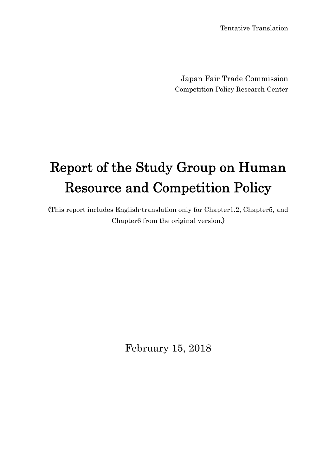Tentative Translation

Japan Fair Trade Commission Competition Policy Research Center

# Report of the Study Group on Human Resource and Competition Policy

(This report includes English-translation only for Chapter1.2, Chapter5, and Chapter6 from the original version.)

February 15, 2018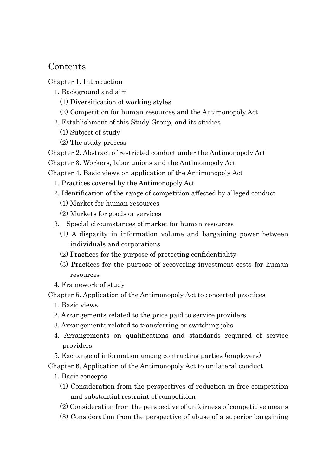# Contents

Chapter 1. Introduction

- 1. Background and aim
	- (1) Diversification of working styles
	- (2) Competition for human resources and the Antimonopoly Act
- 2. Establishment of this Study Group, and its studies
	- (1) Subject of study
	- (2) The study process

Chapter 2. Abstract of restricted conduct under the Antimonopoly Act

Chapter 3. Workers, labor unions and the Antimonopoly Act

Chapter 4. Basic views on application of the Antimonopoly Act

- 1. Practices covered by the Antimonopoly Act
- 2. Identification of the range of competition affected by alleged conduct
	- (1) Market for human resources
	- (2) Markets for goods or services
- 3. Special circumstances of market for human resources
	- (1) A disparity in information volume and bargaining power between individuals and corporations
	- (2) Practices for the purpose of protecting confidentiality
	- (3) Practices for the purpose of recovering investment costs for human resources
- 4. Framework of study

Chapter 5. Application of the Antimonopoly Act to concerted practices

- 1. Basic views
- 2. Arrangements related to the price paid to service providers
- 3. Arrangements related to transferring or switching jobs
- 4. Arrangements on qualifications and standards required of service providers
- 5. Exchange of information among contracting parties (employers)

Chapter 6. Application of the Antimonopoly Act to unilateral conduct

- 1. Basic concepts
	- (1) Consideration from the perspectives of reduction in free competition and substantial restraint of competition
	- (2) Consideration from the perspective of unfairness of competitive means
	- (3) Consideration from the perspective of abuse of a superior bargaining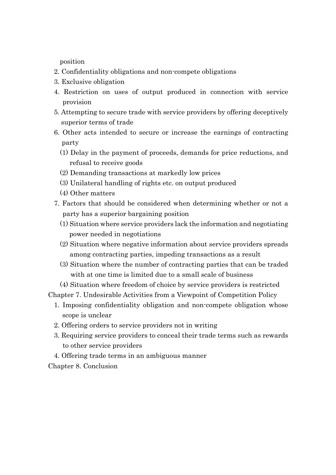position

- 2. Confidentiality obligations and non-compete obligations
- 3. Exclusive obligation
- 4. Restriction on uses of output produced in connection with service provision
- 5. Attempting to secure trade with service providers by offering deceptively superior terms of trade
- 6. Other acts intended to secure or increase the earnings of contracting party
	- (1) Delay in the payment of proceeds, demands for price reductions, and refusal to receive goods
	- (2) Demanding transactions at markedly low prices
	- (3) Unilateral handling of rights etc. on output produced
	- (4) Other matters
- 7. Factors that should be considered when determining whether or not a party has a superior bargaining position
	- (1) Situation where service providers lack the information and negotiating power needed in negotiations
	- (2) Situation where negative information about service providers spreads among contracting parties, impeding transactions as a result
	- (3) Situation where the number of contracting parties that can be traded with at one time is limited due to a small scale of business

(4) Situation where freedom of choice by service providers is restricted

Chapter 7. Undesirable Activities from a Viewpoint of Competition Policy

- 1. Imposing confidentiality obligation and non-compete obligation whose scope is unclear
- 2. Offering orders to service providers not in writing
- 3. Requiring service providers to conceal their trade terms such as rewards to other service providers
- 4. Offering trade terms in an ambiguous manner

Chapter 8. Conclusion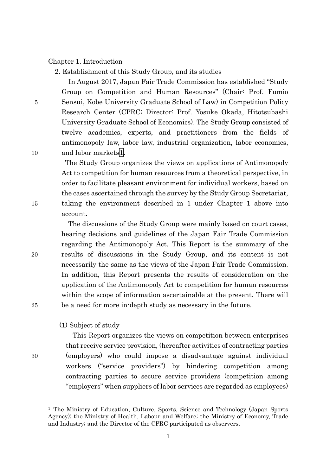#### Chapter 1. Introduction

2. Establishment of this Study Group, and its studies

 In August 2017, Japan Fair Trade Commission has established "Study Group on Competition and Human Resources" (Chair: Prof. Fumio 5 Sensui, Kobe University Graduate School of Law) in Competition Policy Research Center (CPRC; Director: Prof. Yosuke Okada, Hitotsubashi University Graduate School of Economics). The Study Group consisted of twelve academics, experts, and practitioners from the fields of antimonopoly law, labor law, industrial organization, labor economics, 10 and labor markets<sup>1</sup>.

 The Study Group organizes the views on applications of Antimonopoly Act to competition for human resources from a theoretical perspective, in order to facilitate pleasant environment for individual workers, based on the cases ascertained through the survey by the Study Group Secretariat, 15 taking the environment described in 1 under Chapter 1 above into account.

The discussions of the Study Group were mainly based on court cases, hearing decisions and guidelines of the Japan Fair Trade Commission regarding the Antimonopoly Act. This Report is the summary of the 20 results of discussions in the Study Group, and its content is not necessarily the same as the views of the Japan Fair Trade Commission. In addition, this Report presents the results of consideration on the application of the Antimonopoly Act to competition for human resources within the scope of information ascertainable at the present. There will 25 be a need for more in-depth study as necessary in the future.

# (1) Subject of study

This Report organizes the views on competition between enterprises that receive service provision, (hereafter activities of contracting parties 30 (employers) who could impose a disadvantage against individual workers ("service providers") by hindering competition among contracting parties to secure service providers (competition among "employers" when suppliers of labor services are regarded as employees)

<sup>1</sup> The Ministry of Education, Culture, Sports, Science and Technology (Japan Sports Agency); the Ministry of Health, Labour and Welfare; the Ministry of Economy, Trade and Industry; and the Director of the CPRC participated as observers.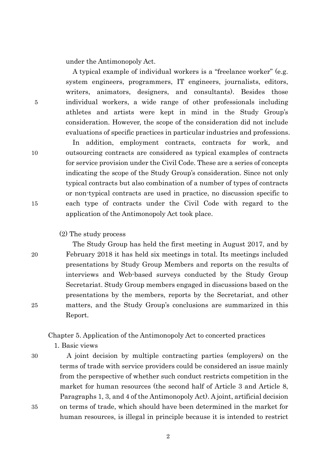under the Antimonopoly Act.

A typical example of individual workers is a "freelance worker" (e.g. system engineers, programmers, IT engineers, journalists, editors, writers, animators, designers, and consultants). Besides those 5 individual workers, a wide range of other professionals including athletes and artists were kept in mind in the Study Group's consideration. However, the scope of the consideration did not include evaluations of specific practices in particular industries and professions.

In addition, employment contracts, contracts for work, and 10 outsourcing contracts are considered as typical examples of contracts for service provision under the Civil Code. These are a series of concepts indicating the scope of the Study Group's consideration. Since not only typical contracts but also combination of a number of types of contracts or non-typical contracts are used in practice, no discussion specific to 15 each type of contracts under the Civil Code with regard to the application of the Antimonopoly Act took place.

(2) The study process

The Study Group has held the first meeting in August 2017, and by 20 February 2018 it has held six meetings in total. Its meetings included presentations by Study Group Members and reports on the results of interviews and Web-based surveys conducted by the Study Group Secretariat. Study Group members engaged in discussions based on the presentations by the members, reports by the Secretariat, and other 25 matters, and the Study Group's conclusions are summarized in this Report.

Chapter 5. Application of the Antimonopoly Act to concerted practices

1. Basic views

30 A joint decision by multiple contracting parties (employers) on the terms of trade with service providers could be considered an issue mainly from the perspective of whether such conduct restricts competition in the market for human resources (the second half of Article 3 and Article 8, Paragraphs 1, 3, and 4 of the Antimonopoly Act). A joint, artificial decision 35 on terms of trade, which should have been determined in the market for human resources, is illegal in principle because it is intended to restrict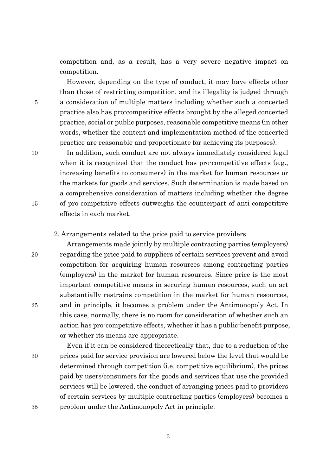competition and, as a result, has a very severe negative impact on competition.

However, depending on the type of conduct, it may have effects other than those of restricting competition, and its illegality is judged through 5 a consideration of multiple matters including whether such a concerted practice also has pro-competitive effects brought by the alleged concerted practice, social or public purposes, reasonable competitive means (in other words, whether the content and implementation method of the concerted practice are reasonable and proportionate for achieving its purposes).

10 In addition, such conduct are not always immediately considered legal when it is recognized that the conduct has pro-competitive effects (e.g., increasing benefits to consumers) in the market for human resources or the markets for goods and services. Such determination is made based on a comprehensive consideration of matters including whether the degree 15 of pro-competitive effects outweighs the counterpart of anti-competitive effects in each market.

### 2. Arrangements related to the price paid to service providers

Arrangements made jointly by multiple contracting parties (employers) 20 regarding the price paid to suppliers of certain services prevent and avoid competition for acquiring human resources among contracting parties (employers) in the market for human resources. Since price is the most important competitive means in securing human resources, such an act substantially restrains competition in the market for human resources, 25 and in principle, it becomes a problem under the Antimonopoly Act. In this case, normally, there is no room for consideration of whether such an action has pro-competitive effects, whether it has a public-benefit purpose, or whether its means are appropriate.

Even if it can be considered theoretically that, due to a reduction of the 30 prices paid for service provision are lowered below the level that would be determined through competition (i.e. competitive equilibrium), the prices paid by users/consumers for the goods and services that use the provided services will be lowered, the conduct of arranging prices paid to providers of certain services by multiple contracting parties (employers) becomes a 35 problem under the Antimonopoly Act in principle.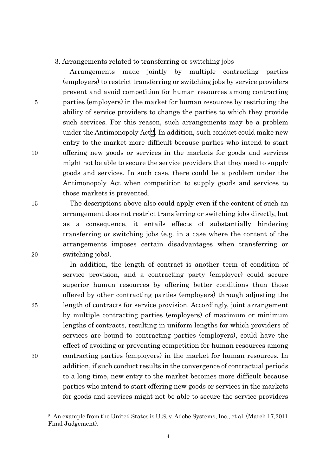#### 3. Arrangements related to transferring or switching jobs

Arrangements made jointly by multiple contracting parties (employers) to restrict transferring or switching jobs by service providers prevent and avoid competition for human resources among contracting 5 parties (employers) in the market for human resources by restricting the ability of service providers to change the parties to which they provide such services. For this reason, such arrangements may be a problem under the Antimonopoly Act<sup>[2]</sup>. In addition, such conduct could make new entry to the market more difficult because parties who intend to start 10 offering new goods or services in the markets for goods and services might not be able to secure the service providers that they need to supply goods and services. In such case, there could be a problem under the Antimonopoly Act when competition to supply goods and services to those markets is prevented.

15 The descriptions above also could apply even if the content of such an arrangement does not restrict transferring or switching jobs directly, but as a consequence, it entails effects of substantially hindering transferring or switching jobs (e.g. in a case where the content of the arrangements imposes certain disadvantages when transferring or 20 switching jobs).

In addition, the length of contract is another term of condition of service provision, and a contracting party (employer) could secure superior human resources by offering better conditions than those offered by other contracting parties (employers) through adjusting the 25 length of contracts for service provision. Accordingly, joint arrangement by multiple contracting parties (employers) of maximum or minimum lengths of contracts, resulting in uniform lengths for which providers of services are bound to contracting parties (employers), could have the effect of avoiding or preventing competition for human resources among 30 contracting parties (employers) in the market for human resources. In addition, if such conduct results in the convergence of contractual periods to a long time, new entry to the market becomes more difficult because parties who intend to start offering new goods or services in the markets for goods and services might not be able to secure the service providers

<sup>2</sup> An example from the United States is U.S. v. Adobe Systems, Inc., et al. (March 17,2011 Final Judgement).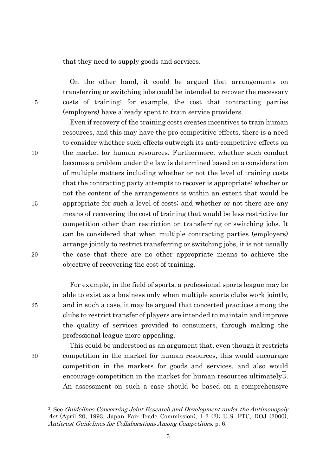that they need to supply goods and services.

On the other hand, it could be argued that arrangements on transferring or switching jobs could be intended to recover the necessary 5 costs of training; for example, the cost that contracting parties (employers) have already spent to train service providers.

Even if recovery of the training costs creates incentives to train human resources, and this may have the pro-competitive effects, there is a need to consider whether such effects outweigh its anti-competitive effects on 10 the market for human resources. Furthermore, whether such conduct becomes a problem under the law is determined based on a consideration of multiple matters including whether or not the level of training costs that the contracting party attempts to recover is appropriate; whether or not the content of the arrangements is within an extent that would be 15 appropriate for such a level of costs; and whether or not there are any means of recovering the cost of training that would be less restrictive for competition other than restriction on transferring or switching jobs. It can be considered that when multiple contracting parties (employers) arrange jointly to restrict transferring or switching jobs, it is not usually 20 the case that there are no other appropriate means to achieve the objective of recovering the cost of training.

For example, in the field of sports, a professional sports league may be able to exist as a business only when multiple sports clubs work jointly, 25 and in such a case, it may be argued that concerted practices among the clubs to restrict transfer of players are intended to maintain and improve the quality of services provided to consumers, through making the professional league more appealing.

This could be understood as an argument that, even though it restricts 30 competition in the market for human resources, this would encourage competition in the markets for goods and services, and also would encourage competition in the market for human resources ultimately<sup>[3]</sup>. An assessment on such a case should be based on a comprehensive

<sup>&</sup>lt;sup>3</sup> See Guidelines Concerning Joint Research and Development under the Antimonopoly Act (April 20, 1993, Japan Fair Trade Commission), 1-2 (2); U.S. FTC, DOJ (2000), Antitrust Guidelines for Collaborations Among Competitors, p. 6.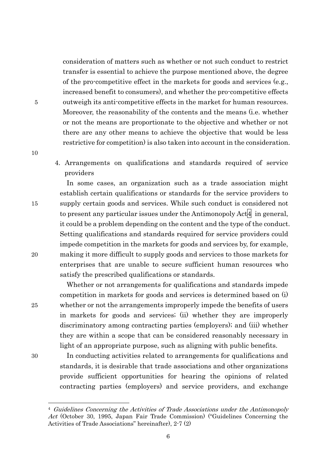consideration of matters such as whether or not such conduct to restrict transfer is essential to achieve the purpose mentioned above, the degree of the pro-competitive effect in the markets for goods and services (e.g., increased benefit to consumers), and whether the pro-competitive effects 5 outweigh its anti-competitive effects in the market for human resources. Moreover, the reasonability of the contents and the means (i.e. whether or not the means are proportionate to the objective and whether or not there are any other means to achieve the objective that would be less restrictive for competition) is also taken into account in the consideration.

4. Arrangements on qualifications and standards required of service providers

In some cases, an organization such as a trade association might establish certain qualifications or standards for the service providers to 15 supply certain goods and services. While such conduct is considered not to present any particular issues under the Antimonopoly  $Act4$  in general, it could be a problem depending on the content and the type of the conduct. Setting qualifications and standards required for service providers could impede competition in the markets for goods and services by, for example, 20 making it more difficult to supply goods and services to those markets for enterprises that are unable to secure sufficient human resources who satisfy the prescribed qualifications or standards.

Whether or not arrangements for qualifications and standards impede competition in markets for goods and services is determined based on (i) 25 whether or not the arrangements improperly impede the benefits of users in markets for goods and services; (ii) whether they are improperly discriminatory among contracting parties (employers); and (iii) whether they are within a scope that can be considered reasonably necessary in light of an appropriate purpose, such as aligning with public benefits.

 $\overline{a}$ 

10

30 In conducting activities related to arrangements for qualifications and standards, it is desirable that trade associations and other organizations provide sufficient opportunities for hearing the opinions of related contracting parties (employers) and service providers, and exchange

6

<sup>4</sup> Guidelines Concerning the Activities of Trade Associations under the Antimonopoly Act (October 30, 1995, Japan Fair Trade Commission) ("Guidelines Concerning the Activities of Trade Associations" hereinafter), 2-7 (2)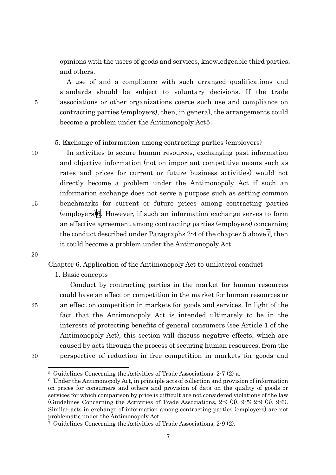opinions with the users of goods and services, knowledgeable third parties, and others.

A use of and a compliance with such arranged qualifications and standards should be subject to voluntary decisions. If the trade 5 associations or other organizations coerce such use and compliance on contracting parties (employers), then, in general, the arrangements could become a problem under the Antimonopoly Act<sup>5</sup>.

# 5. Exchange of information among contracting parties (employers)

10 In activities to secure human resources, exchanging past information and objective information (not on important competitive means such as rates and prices for current or future business activities) would not directly become a problem under the Antimonopoly Act if such an information exchange does not serve a purpose such as setting common 15 benchmarks for current or future prices among contracting parties (employers)6. However, if such an information exchange serves to form an effective agreement among contracting parties (employers) concerning the conduct described under Paragraphs  $2-4$  of the chapter 5 above  $7$ , then it could become a problem under the Antimonopoly Act.

20

Chapter 6. Application of the Antimonopoly Act to unilateral conduct

1. Basic concepts

 Conduct by contracting parties in the market for human resources could have an effect on competition in the market for human resources or 25 an effect on competition in markets for goods and services. In light of the fact that the Antimonopoly Act is intended ultimately to be in the interests of protecting benefits of general consumers (see Article 1 of the Antimonopoly Act), this section will discuss negative effects, which are caused by acts through the process of securing human resources, from the 30 perspective of reduction in free competition in markets for goods and

<sup>5</sup> Guidelines Concerning the Activities of Trade Associations. 2-7 (2) a.

<sup>6</sup> Under the Antimonopoly Act, in principle acts of collection and provision of information on prices for consumers and others and provision of data on the quality of goods or services for which comparison by price is difficult are not considered violations of the law (Guidelines Concerning the Activities of Trade Associations, 2-9 (3), 9-5; 2-9 (3), 9-6). Similar acts in exchange of information among contracting parties (employers) are not problematic under the Antimonopoly Act.

<sup>7</sup> Guidelines Concerning the Activities of Trade Associations, 2-9 (2).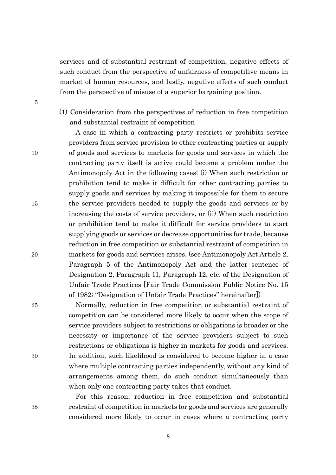services and of substantial restraint of competition, negative effects of such conduct from the perspective of unfairness of competitive means in market of human resources, and lastly, negative effects of such conduct from the perspective of misuse of a superior bargaining position.

5

(1) Consideration from the perspectives of reduction in free competition and substantial restraint of competition

A case in which a contracting party restricts or prohibits service providers from service provision to other contracting parties or supply 10 of goods and services to markets for goods and services in which the contracting party itself is active could become a problem under the Antimonopoly Act in the following cases; (i) When such restriction or prohibition tend to make it difficult for other contracting parties to supply goods and services by making it impossible for them to secure 15 the service providers needed to supply the goods and services or by increasing the costs of service providers, or (ii) When such restriction or prohibition tend to make it difficult for service providers to start supplying goods or services or decrease opportunities for trade, because reduction in free competition or substantial restraint of competition in 20 markets for goods and services arises. (see Antimonopoly Act Article 2, Paragraph 5 of the Antimonopoly Act and the latter sentence of Designation 2, Paragraph 11, Paragraph 12, etc. of the Designation of Unfair Trade Practices [Fair Trade Commission Public Notice No. 15 of 1982; "Designation of Unfair Trade Practices" hereinafter])

25 Normally, reduction in free competition or substantial restraint of competition can be considered more likely to occur when the scope of service providers subject to restrictions or obligations is broader or the necessity or importance of the service providers subject to such restrictions or obligations is higher in markets for goods and services. 30 In addition, such likelihood is considered to become higher in a case where multiple contracting parties independently, without any kind of arrangements among them, do such conduct simultaneously than when only one contracting party takes that conduct.

For this reason, reduction in free competition and substantial 35 restraint of competition in markets for goods and services are generally considered more likely to occur in cases where a contracting party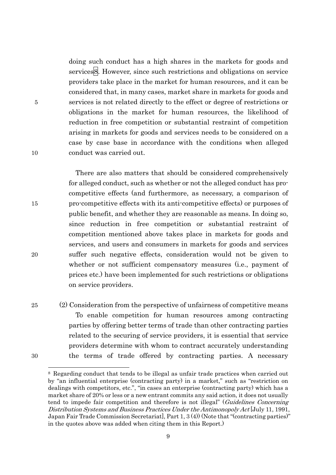doing such conduct has a high shares in the markets for goods and services<sup>8</sup>. However, since such restrictions and obligations on service providers take place in the market for human resources, and it can be considered that, in many cases, market share in markets for goods and 5 services is not related directly to the effect or degree of restrictions or obligations in the market for human resources, the likelihood of reduction in free competition or substantial restraint of competition arising in markets for goods and services needs to be considered on a case by case base in accordance with the conditions when alleged 10 conduct was carried out.

There are also matters that should be considered comprehensively for alleged conduct, such as whether or not the alleged conduct has procompetitive effects (and furthermore, as necessary, a comparison of 15 pro-competitive effects with its anti-competitive effects) or purposes of public benefit, and whether they are reasonable as means. In doing so, since reduction in free competition or substantial restraint of competition mentioned above takes place in markets for goods and services, and users and consumers in markets for goods and services 20 suffer such negative effects, consideration would not be given to whether or not sufficient compensatory measures (i.e., payment of prices etc.) have been implemented for such restrictions or obligations on service providers.

25 (2) Consideration from the perspective of unfairness of competitive means To enable competition for human resources among contracting parties by offering better terms of trade than other contracting parties related to the securing of service providers, it is essential that service

30 the terms of trade offered by contracting parties. A necessary

providers determine with whom to contract accurately understanding

 $\overline{a}$ 8 Regarding conduct that tends to be illegal as unfair trade practices when carried out by "an influential enterprise (contracting party) in a market," such as "restriction on dealings with competitors, etc.", "in cases an enterprise (contracting party) which has a market share of 20% or less or a new entrant commits any said action, it does not usually tend to impede fair competition and therefore is not illegal" (Guidelines Concerning Distribution Systems and Business Practices Under the Antimonopoly Act [July 11, 1991, Japan Fair Trade Commission Secretariat], Part 1, 3 (4)) (Note that "(contracting parties)" in the quotes above was added when citing them in this Report.)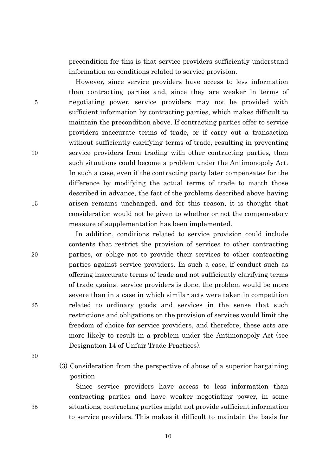precondition for this is that service providers sufficiently understand information on conditions related to service provision.

However, since service providers have access to less information than contracting parties and, since they are weaker in terms of 5 negotiating power, service providers may not be provided with sufficient information by contracting parties, which makes difficult to maintain the precondition above. If contracting parties offer to service providers inaccurate terms of trade, or if carry out a transaction without sufficiently clarifying terms of trade, resulting in preventing 10 service providers from trading with other contracting parties, then such situations could become a problem under the Antimonopoly Act. In such a case, even if the contracting party later compensates for the difference by modifying the actual terms of trade to match those described in advance, the fact of the problems described above having 15 arisen remains unchanged, and for this reason, it is thought that consideration would not be given to whether or not the compensatory measure of supplementation has been implemented.

In addition, conditions related to service provision could include contents that restrict the provision of services to other contracting 20 parties, or oblige not to provide their services to other contracting parties against service providers. In such a case, if conduct such as offering inaccurate terms of trade and not sufficiently clarifying terms of trade against service providers is done, the problem would be more severe than in a case in which similar acts were taken in competition 25 related to ordinary goods and services in the sense that such restrictions and obligations on the provision of services would limit the freedom of choice for service providers, and therefore, these acts are more likely to result in a problem under the Antimonopoly Act (see Designation 14 of Unfair Trade Practices).

30

(3) Consideration from the perspective of abuse of a superior bargaining position

Since service providers have access to less information than contracting parties and have weaker negotiating power, in some 35 situations, contracting parties might not provide sufficient information to service providers. This makes it difficult to maintain the basis for

10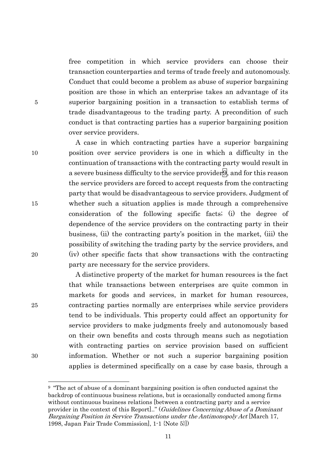free competition in which service providers can choose their transaction counterparties and terms of trade freely and autonomously. Conduct that could become a problem as abuse of superior bargaining position are those in which an enterprise takes an advantage of its 5 superior bargaining position in a transaction to establish terms of trade disadvantageous to the trading party. A precondition of such conduct is that contracting parties has a superior bargaining position over service providers.

A case in which contracting parties have a superior bargaining 10 position over service providers is one in which a difficulty in the continuation of transactions with the contracting party would result in a severe business difficulty to the service provider  $9$ , and for this reason the service providers are forced to accept requests from the contracting party that would be disadvantageous to service providers. Judgment of 15 whether such a situation applies is made through a comprehensive consideration of the following specific facts; (i) the degree of dependence of the service providers on the contracting party in their business, (ii) the contracting party's position in the market, (iii) the possibility of switching the trading party by the service providers, and 20 (iv) other specific facts that show transactions with the contracting party are necessary for the service providers.

A distinctive property of the market for human resources is the fact that while transactions between enterprises are quite common in markets for goods and services, in market for human resources, 25 contracting parties normally are enterprises while service providers tend to be individuals. This property could affect an opportunity for service providers to make judgments freely and autonomously based on their own benefits and costs through means such as negotiation with contracting parties on service provision based on sufficient 30 information. Whether or not such a superior bargaining position applies is determined specifically on a case by case basis, through a

<sup>9 &</sup>quot;The act of abuse of a dominant bargaining position is often conducted against the backdrop of continuous business relations, but is occasionally conducted among firms without continuous business relations [between a contracting party and a service provider in the context of this Report..." (Guidelines Concerning Abuse of a Dominant Bargaining Position in Service Transactions under the Antimonopoly Act [March 17, 1998, Japan Fair Trade Commission], 1-1 {Note 5}])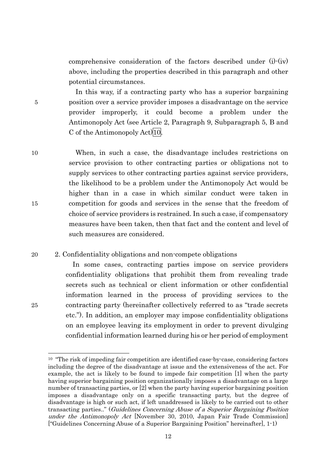comprehensive consideration of the factors described under (i)-(iv) above, including the properties described in this paragraph and other potential circumstances.

In this way, if a contracting party who has a superior bargaining 5 position over a service provider imposes a disadvantage on the service provider improperly, it could become a problem under the Antimonopoly Act (see Article 2, Paragraph 9, Subparagraph 5, B and C of the Antimonopoly Act)10.

10 When, in such a case, the disadvantage includes restrictions on service provision to other contracting parties or obligations not to supply services to other contracting parties against service providers, the likelihood to be a problem under the Antimonopoly Act would be higher than in a case in which similar conduct were taken in 15 competition for goods and services in the sense that the freedom of choice of service providers is restrained. In such a case, if compensatory measures have been taken, then that fact and the content and level of such measures are considered.

#### 20 2. Confidentiality obligations and non-compete obligations

In some cases, contracting parties impose on service providers confidentiality obligations that prohibit them from revealing trade secrets such as technical or client information or other confidential information learned in the process of providing services to the 25 contracting party (hereinafter collectively referred to as "trade secrets etc."). In addition, an employer may impose confidentiality obligations on an employee leaving its employment in order to prevent divulging confidential information learned during his or her period of employment

<sup>&</sup>lt;sup>10</sup> "The risk of impeding fair competition are identified case-by-case, considering factors including the degree of the disadvantage at issue and the extensiveness of the act. For example, the act is likely to be found to impede fair competition [1] when the party having superior bargaining position organizationally imposes a disadvantage on a large number of transacting parties, or [2] when the party having superior bargaining position imposes a disadvantage only on a specific transacting party, but the degree of disadvantage is high or such act, if left unaddressed is likely to be carried out to other transacting parties.." (Guidelines Concerning Abuse of a Superior Bargaining Position under the Antimonopoly Act [November 30, 2010, Japan Fair Trade Commission] ["Guidelines Concerning Abuse of a Superior Bargaining Position" hereinafter], 1-1)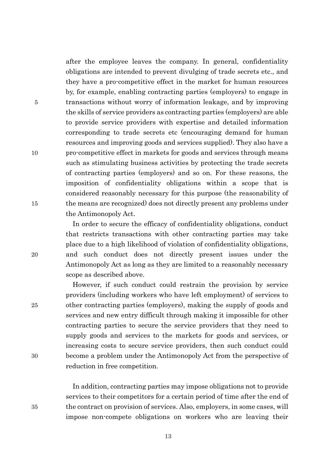after the employee leaves the company. In general, confidentiality obligations are intended to prevent divulging of trade secrets etc., and they have a pro-competitive effect in the market for human resources by, for example, enabling contracting parties (employers) to engage in 5 transactions without worry of information leakage, and by improving the skills of service providers as contracting parties (employers) are able to provide service providers with expertise and detailed information corresponding to trade secrets etc (encouraging demand for human resources and improving goods and services supplied). They also have a 10 pro-competitive effect in markets for goods and services through means such as stimulating business activities by protecting the trade secrets of contracting parties (employers) and so on. For these reasons, the imposition of confidentiality obligations within a scope that is considered reasonably necessary for this purpose (the reasonability of 15 the means are recognized) does not directly present any problems under the Antimonopoly Act.

In order to secure the efficacy of confidentiality obligations, conduct that restricts transactions with other contracting parties may take place due to a high likelihood of violation of confidentiality obligations, 20 and such conduct does not directly present issues under the Antimonopoly Act as long as they are limited to a reasonably necessary scope as described above.

However, if such conduct could restrain the provision by service providers (including workers who have left employment) of services to 25 other contracting parties (employers), making the supply of goods and services and new entry difficult through making it impossible for other contracting parties to secure the service providers that they need to supply goods and services to the markets for goods and services, or increasing costs to secure service providers, then such conduct could 30 become a problem under the Antimonopoly Act from the perspective of reduction in free competition.

In addition, contracting parties may impose obligations not to provide services to their competitors for a certain period of time after the end of 35 the contract on provision of services. Also, employers, in some cases, will impose non-compete obligations on workers who are leaving their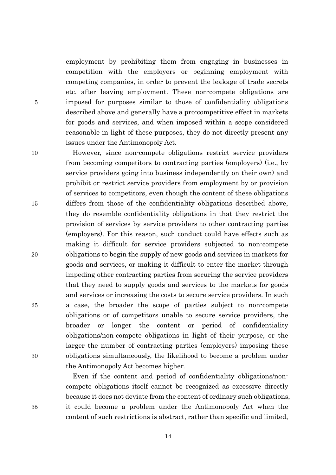employment by prohibiting them from engaging in businesses in competition with the employers or beginning employment with competing companies, in order to prevent the leakage of trade secrets etc. after leaving employment. These non-compete obligations are 5 imposed for purposes similar to those of confidentiality obligations described above and generally have a pro-competitive effect in markets for goods and services, and when imposed within a scope considered reasonable in light of these purposes, they do not directly present any issues under the Antimonopoly Act.

10 However, since non-compete obligations restrict service providers from becoming competitors to contracting parties (employers) (i.e., by service providers going into business independently on their own) and prohibit or restrict service providers from employment by or provision of services to competitors, even though the content of these obligations 15 differs from those of the confidentiality obligations described above, they do resemble confidentiality obligations in that they restrict the provision of services by service providers to other contracting parties (employers). For this reason, such conduct could have effects such as making it difficult for service providers subjected to non-compete 20 obligations to begin the supply of new goods and services in markets for goods and services, or making it difficult to enter the market through impeding other contracting parties from securing the service providers that they need to supply goods and services to the markets for goods and services or increasing the costs to secure service providers. In such 25 a case, the broader the scope of parties subject to non-compete obligations or of competitors unable to secure service providers, the broader or longer the content or period of confidentiality obligations/non-compete obligations in light of their purpose, or the larger the number of contracting parties (employers) imposing these 30 obligations simultaneously, the likelihood to become a problem under the Antimonopoly Act becomes higher.

Even if the content and period of confidentiality obligations/noncompete obligations itself cannot be recognized as excessive directly because it does not deviate from the content of ordinary such obligations, 35 it could become a problem under the Antimonopoly Act when the content of such restrictions is abstract, rather than specific and limited,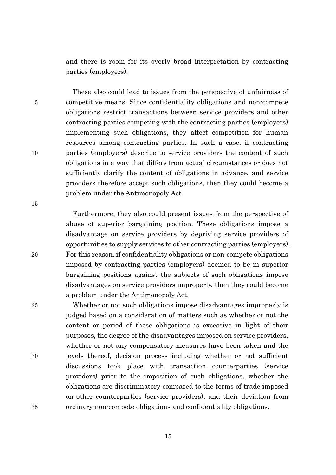and there is room for its overly broad interpretation by contracting parties (employers).

These also could lead to issues from the perspective of unfairness of 5 competitive means. Since confidentiality obligations and non-compete obligations restrict transactions between service providers and other contracting parties competing with the contracting parties (employers) implementing such obligations, they affect competition for human resources among contracting parties. In such a case, if contracting 10 parties (employers) describe to service providers the content of such obligations in a way that differs from actual circumstances or does not sufficiently clarify the content of obligations in advance, and service providers therefore accept such obligations, then they could become a problem under the Antimonopoly Act.

Furthermore, they also could present issues from the perspective of abuse of superior bargaining position. These obligations impose a disadvantage on service providers by depriving service providers of opportunities to supply services to other contracting parties (employers). 20 For this reason, if confidentiality obligations or non-compete obligations imposed by contracting parties (employers) deemed to be in superior bargaining positions against the subjects of such obligations impose disadvantages on service providers improperly, then they could become a problem under the Antimonopoly Act.

25 Whether or not such obligations impose disadvantages improperly is judged based on a consideration of matters such as whether or not the content or period of these obligations is excessive in light of their purposes, the degree of the disadvantages imposed on service providers, whether or not any compensatory measures have been taken and the 30 levels thereof, decision process including whether or not sufficient discussions took place with transaction counterparties (service providers) prior to the imposition of such obligations, whether the obligations are discriminatory compared to the terms of trade imposed on other counterparties (service providers), and their deviation from 35 ordinary non-compete obligations and confidentiality obligations.

15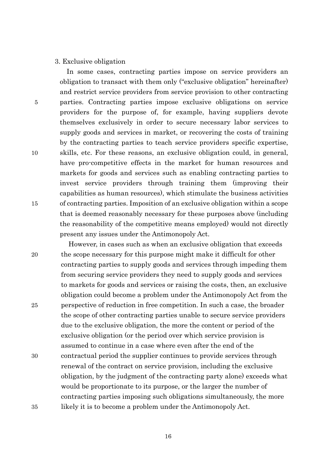### 3. Exclusive obligation

In some cases, contracting parties impose on service providers an obligation to transact with them only ("exclusive obligation" hereinafter) and restrict service providers from service provision to other contracting 5 parties. Contracting parties impose exclusive obligations on service providers for the purpose of, for example, having suppliers devote themselves exclusively in order to secure necessary labor services to supply goods and services in market, or recovering the costs of training by the contracting parties to teach service providers specific expertise, 10 skills, etc. For these reasons, an exclusive obligation could, in general, have pro-competitive effects in the market for human resources and markets for goods and services such as enabling contracting parties to invest service providers through training them (improving their capabilities as human resources), which stimulate the business activities 15 of contracting parties. Imposition of an exclusive obligation within a scope that is deemed reasonably necessary for these purposes above (including the reasonability of the competitive means employed) would not directly present any issues under the Antimonopoly Act.

However, in cases such as when an exclusive obligation that exceeds 20 the scope necessary for this purpose might make it difficult for other contracting parties to supply goods and services through impeding them from securing service providers they need to supply goods and services to markets for goods and services or raising the costs, then, an exclusive obligation could become a problem under the Antimonopoly Act from the 25 perspective of reduction in free competition. In such a case, the broader the scope of other contracting parties unable to secure service providers due to the exclusive obligation, the more the content or period of the exclusive obligation (or the period over which service provision is assumed to continue in a case where even after the end of the 30 contractual period the supplier continues to provide services through renewal of the contract on service provision, including the exclusive obligation, by the judgment of the contracting party alone) exceeds what would be proportionate to its purpose, or the larger the number of contracting parties imposing such obligations simultaneously, the more 35 likely it is to become a problem under the Antimonopoly Act.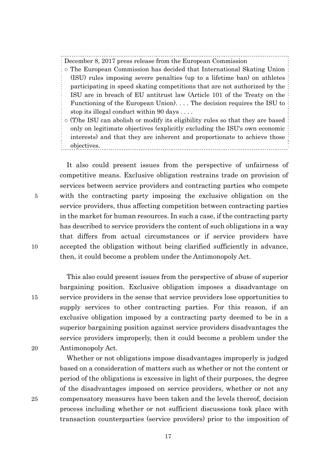December 8, 2017 press release from the European Commission

- The European Commission has decided that International Skating Union (ISU) rules imposing severe penalties (up to a lifetime ban) on athletes participating in speed skating competitions that are not authorized by the ISU are in breach of EU antitrust law (Article 101 of the Treaty on the Functioning of the European Union). . . . The decision requires the ISU to stop its illegal conduct within 90 days . . . .
- (T)he ISU can abolish or modify its eligibility rules so that they are based only on legitimate objectives (explicitly excluding the ISU's own economic interests) and that they are inherent and proportionate to achieve those objectives.

It also could present issues from the perspective of unfairness of competitive means. Exclusive obligation restrains trade on provision of services between service providers and contracting parties who compete 5 with the contracting party imposing the exclusive obligation on the service providers, thus affecting competition between contracting parties in the market for human resources. In such a case, if the contracting party has described to service providers the content of such obligations in a way that differs from actual circumstances or if service providers have 10 accepted the obligation without being clarified sufficiently in advance, then, it could become a problem under the Antimonopoly Act.

This also could present issues from the perspective of abuse of superior bargaining position. Exclusive obligation imposes a disadvantage on 15 service providers in the sense that service providers lose opportunities to supply services to other contracting parties. For this reason, if an exclusive obligation imposed by a contracting party deemed to be in a superior bargaining position against service providers disadvantages the service providers improperly, then it could become a problem under the 20 Antimonopoly Act.

Whether or not obligations impose disadvantages improperly is judged based on a consideration of matters such as whether or not the content or period of the obligations is excessive in light of their purposes, the degree of the disadvantages imposed on service providers, whether or not any 25 compensatory measures have been taken and the levels thereof, decision process including whether or not sufficient discussions took place with transaction counterparties (service providers) prior to the imposition of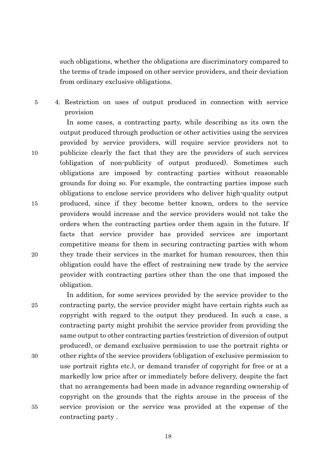such obligations, whether the obligations are discriminatory compared to the terms of trade imposed on other service providers, and their deviation from ordinary exclusive obligations.

5 4. Restriction on uses of output produced in connection with service provision

In some cases, a contracting party, while describing as its own the output produced through production or other activities using the services provided by service providers, will require service providers not to 10 publicize clearly the fact that they are the providers of such services (obligation of non-publicity of output produced). Sometimes such obligations are imposed by contracting parties without reasonable grounds for doing so. For example, the contracting parties impose such obligations to enclose service providers who deliver high-quality output 15 produced, since if they become better known, orders to the service providers would increase and the service providers would not take the orders when the contracting parties order them again in the future. If facts that service provider has provided services are important competitive means for them in securing contracting parties with whom 20 they trade their services in the market for human resources, then this obligation could have the effect of restraining new trade by the service provider with contracting parties other than the one that imposed the obligation.

In addition, for some services provided by the service provider to the 25 contracting party, the service provider might have certain rights such as copyright with regard to the output they produced. In such a case, a contracting party might prohibit the service provider from providing the same output to other contracting parties (restriction of diversion of output produced), or demand exclusive permission to use the portrait rights or 30 other rights of the service providers (obligation of exclusive permission to use portrait rights etc.), or demand transfer of copyright for free or at a markedly low price after or immediately before delivery, despite the fact that no arrangements had been made in advance regarding ownership of copyright on the grounds that the rights arouse in the process of the 35 service provision or the service was provided at the expense of the contracting party .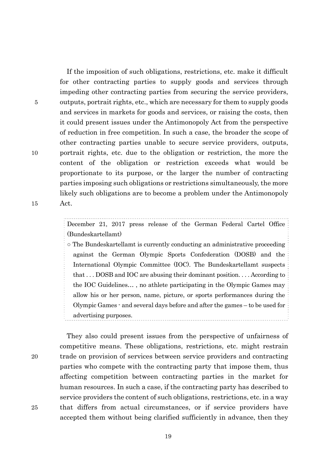If the imposition of such obligations, restrictions, etc. make it difficult for other contracting parties to supply goods and services through impeding other contracting parties from securing the service providers, 5 outputs, portrait rights, etc., which are necessary for them to supply goods and services in markets for goods and services, or raising the costs, then it could present issues under the Antimonopoly Act from the perspective of reduction in free competition. In such a case, the broader the scope of other contracting parties unable to secure service providers, outputs, 10 portrait rights, etc. due to the obligation or restriction, the more the content of the obligation or restriction exceeds what would be proportionate to its purpose, or the larger the number of contracting parties imposing such obligations or restrictions simultaneously, the more likely such obligations are to become a problem under the Antimonopoly 15 Act.

> December 21, 2017 press release of the German Federal Cartel Office (Bundeskartellamt)

> ○ The Bundeskartellamt is currently conducting an administrative proceeding against the German Olympic Sports Confederation (DOSB) and the International Olympic Committee (IOC). The Bundeskartellamt suspects that . . . DOSB and IOC are abusing their dominant position. . . . According to the IOC Guidelines… , no athlete participating in the Olympic Games may allow his or her person, name, picture, or sports performances during the Olympic Games - and several days before and after the games – to be used for advertising purposes.

They also could present issues from the perspective of unfairness of competitive means. These obligations, restrictions, etc. might restrain 20 trade on provision of services between service providers and contracting parties who compete with the contracting party that impose them, thus affecting competition between contracting parties in the market for human resources. In such a case, if the contracting party has described to service providers the content of such obligations, restrictions, etc. in a way 25 that differs from actual circumstances, or if service providers have accepted them without being clarified sufficiently in advance, then they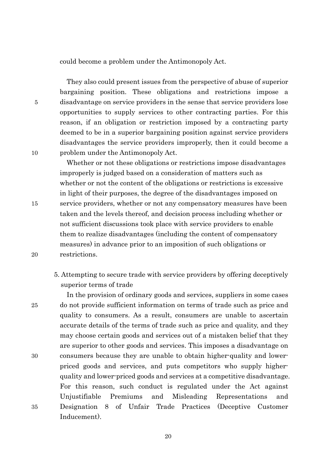could become a problem under the Antimonopoly Act.

They also could present issues from the perspective of abuse of superior bargaining position. These obligations and restrictions impose a 5 disadvantage on service providers in the sense that service providers lose opportunities to supply services to other contracting parties. For this reason, if an obligation or restriction imposed by a contracting party deemed to be in a superior bargaining position against service providers disadvantages the service providers improperly, then it could become a 10 problem under the Antimonopoly Act.

Whether or not these obligations or restrictions impose disadvantages improperly is judged based on a consideration of matters such as whether or not the content of the obligations or restrictions is excessive in light of their purposes, the degree of the disadvantages imposed on 15 service providers, whether or not any compensatory measures have been taken and the levels thereof, and decision process including whether or not sufficient discussions took place with service providers to enable them to realize disadvantages (including the content of compensatory measures) in advance prior to an imposition of such obligations or 20 restrictions.

5. Attempting to secure trade with service providers by offering deceptively superior terms of trade

In the provision of ordinary goods and services, suppliers in some cases 25 do not provide sufficient information on terms of trade such as price and quality to consumers. As a result, consumers are unable to ascertain accurate details of the terms of trade such as price and quality, and they may choose certain goods and services out of a mistaken belief that they are superior to other goods and services. This imposes a disadvantage on 30 consumers because they are unable to obtain higher-quality and lowerpriced goods and services, and puts competitors who supply higherquality and lower-priced goods and services at a competitive disadvantage. For this reason, such conduct is regulated under the Act against Unjustifiable Premiums and Misleading Representations and 35 Designation 8 of Unfair Trade Practices (Deceptive Customer Inducement).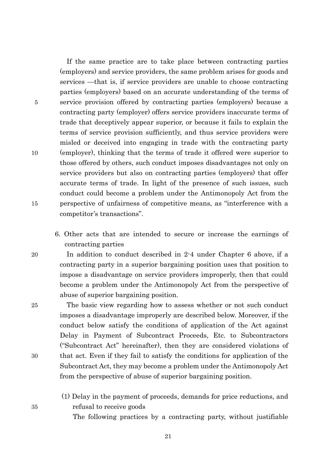If the same practice are to take place between contracting parties (employers) and service providers, the same problem arises for goods and services —that is, if service providers are unable to choose contracting parties (employers) based on an accurate understanding of the terms of 5 service provision offered by contracting parties (employers) because a contracting party (employer) offers service providers inaccurate terms of trade that deceptively appear superior, or because it fails to explain the terms of service provision sufficiently, and thus service providers were misled or deceived into engaging in trade with the contracting party 10 (employer), thinking that the terms of trade it offered were superior to those offered by others, such conduct imposes disadvantages not only on service providers but also on contracting parties (employers) that offer accurate terms of trade. In light of the presence of such issues, such conduct could become a problem under the Antimonopoly Act from the 15 perspective of unfairness of competitive means, as "interference with a competitor's transactions".

6. Other acts that are intended to secure or increase the earnings of contracting parties

20 In addition to conduct described in 2-4 under Chapter 6 above, if a contracting party in a superior bargaining position uses that position to impose a disadvantage on service providers improperly, then that could become a problem under the Antimonopoly Act from the perspective of abuse of superior bargaining position.

25 The basic view regarding how to assess whether or not such conduct imposes a disadvantage improperly are described below. Moreover, if the conduct below satisfy the conditions of application of the Act against Delay in Payment of Subcontract Proceeds, Etc. to Subcontractors ("Subcontract Act" hereinafter), then they are considered violations of 30 that act. Even if they fail to satisfy the conditions for application of the Subcontract Act, they may become a problem under the Antimonopoly Act from the perspective of abuse of superior bargaining position.

(1) Delay in the payment of proceeds, demands for price reductions, and 35 refusal to receive goods

The following practices by a contracting party, without justifiable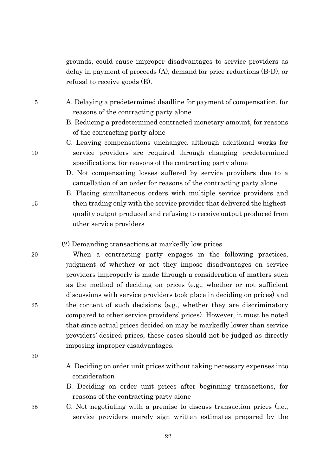grounds, could cause improper disadvantages to service providers as delay in payment of proceeds (A), demand for price reductions (B-D), or refusal to receive goods (E).

- 5 A. Delaying a predetermined deadline for payment of compensation, for reasons of the contracting party alone
	- B. Reducing a predetermined contracted monetary amount, for reasons of the contracting party alone
- C. Leaving compensations unchanged although additional works for 10 service providers are required through changing predetermined specifications, for reasons of the contracting party alone
	- D. Not compensating losses suffered by service providers due to a cancellation of an order for reasons of the contracting party alone
- E. Placing simultaneous orders with multiple service providers and 15 then trading only with the service provider that delivered the highestquality output produced and refusing to receive output produced from other service providers

# (2) Demanding transactions at markedly low prices

20 When a contracting party engages in the following practices, judgment of whether or not they impose disadvantages on service providers improperly is made through a consideration of matters such as the method of deciding on prices (e.g., whether or not sufficient discussions with service providers took place in deciding on prices) and 25 the content of such decisions (e.g., whether they are discriminatory compared to other service providers' prices). However, it must be noted that since actual prices decided on may be markedly lower than service providers' desired prices, these cases should not be judged as directly imposing improper disadvantages.

- 30
- A. Deciding on order unit prices without taking necessary expenses into consideration
- B. Deciding on order unit prices after beginning transactions, for reasons of the contracting party alone
- 35 C. Not negotiating with a premise to discuss transaction prices (i.e., service providers merely sign written estimates prepared by the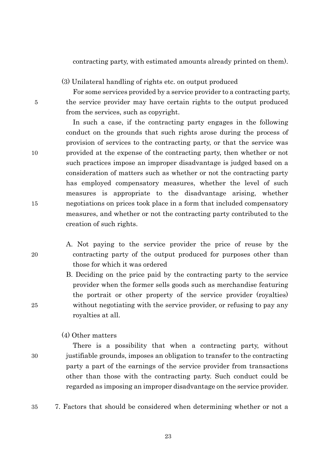contracting party, with estimated amounts already printed on them).

(3) Unilateral handling of rights etc. on output produced

For some services provided by a service provider to a contracting party, 5 the service provider may have certain rights to the output produced from the services, such as copyright.

In such a case, if the contracting party engages in the following conduct on the grounds that such rights arose during the process of provision of services to the contracting party, or that the service was 10 provided at the expense of the contracting party, then whether or not such practices impose an improper disadvantage is judged based on a consideration of matters such as whether or not the contracting party has employed compensatory measures, whether the level of such measures is appropriate to the disadvantage arising, whether 15 negotiations on prices took place in a form that included compensatory measures, and whether or not the contracting party contributed to the creation of such rights.

A. Not paying to the service provider the price of reuse by the 20 contracting party of the output produced for purposes other than those for which it was ordered

B. Deciding on the price paid by the contracting party to the service provider when the former sells goods such as merchandise featuring the portrait or other property of the service provider (royalties) 25 without negotiating with the service provider, or refusing to pay any royalties at all.

# (4) Other matters

There is a possibility that when a contracting party, without 30 justifiable grounds, imposes an obligation to transfer to the contracting party a part of the earnings of the service provider from transactions other than those with the contracting party. Such conduct could be regarded as imposing an improper disadvantage on the service provider.

35 7. Factors that should be considered when determining whether or not a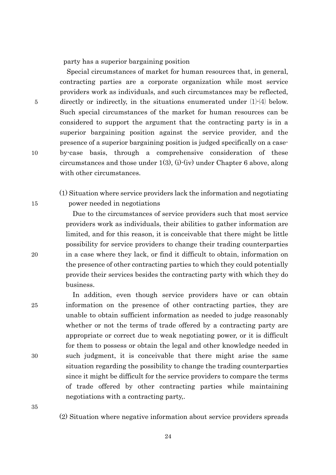party has a superior bargaining position

Special circumstances of market for human resources that, in general, contracting parties are a corporate organization while most service providers work as individuals, and such circumstances may be reflected, 5 directly or indirectly, in the situations enumerated under  $(1)$ - $(4)$  below. Such special circumstances of the market for human resources can be considered to support the argument that the contracting party is in a superior bargaining position against the service provider, and the presence of a superior bargaining position is judged specifically on a case-10 by-case basis, through a comprehensive consideration of these circumstances and those under 1(3), (i)-(iv) under Chapter 6 above, along with other circumstances.

(1) Situation where service providers lack the information and negotiating 15 power needed in negotiations

Due to the circumstances of service providers such that most service providers work as individuals, their abilities to gather information are limited, and for this reason, it is conceivable that there might be little possibility for service providers to change their trading counterparties 20 in a case where they lack, or find it difficult to obtain, information on the presence of other contracting parties to which they could potentially provide their services besides the contracting party with which they do business.

In addition, even though service providers have or can obtain 25 information on the presence of other contracting parties, they are unable to obtain sufficient information as needed to judge reasonably whether or not the terms of trade offered by a contracting party are appropriate or correct due to weak negotiating power, or it is difficult for them to possess or obtain the legal and other knowledge needed in 30 such judgment, it is conceivable that there might arise the same situation regarding the possibility to change the trading counterparties since it might be difficult for the service providers to compare the terms of trade offered by other contracting parties while maintaining negotiations with a contracting party,.

35

(2) Situation where negative information about service providers spreads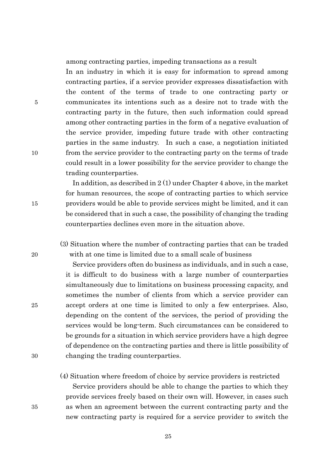among contracting parties, impeding transactions as a result

In an industry in which it is easy for information to spread among contracting parties, if a service provider expresses dissatisfaction with the content of the terms of trade to one contracting party or 5 communicates its intentions such as a desire not to trade with the contracting party in the future, then such information could spread among other contracting parties in the form of a negative evaluation of the service provider, impeding future trade with other contracting parties in the same industry. In such a case, a negotiation initiated 10 from the service provider to the contracting party on the terms of trade could result in a lower possibility for the service provider to change the trading counterparties.

In addition, as described in 2 (1) under Chapter 4 above, in the market for human resources, the scope of contracting parties to which service 15 providers would be able to provide services might be limited, and it can be considered that in such a case, the possibility of changing the trading counterparties declines even more in the situation above.

(3) Situation where the number of contracting parties that can be traded 20 with at one time is limited due to a small scale of business

Service providers often do business as individuals, and in such a case, it is difficult to do business with a large number of counterparties simultaneously due to limitations on business processing capacity, and sometimes the number of clients from which a service provider can 25 accept orders at one time is limited to only a few enterprises. Also, depending on the content of the services, the period of providing the services would be long-term. Such circumstances can be considered to be grounds for a situation in which service providers have a high degree of dependence on the contracting parties and there is little possibility of 30 changing the trading counterparties.

(4) Situation where freedom of choice by service providers is restricted

Service providers should be able to change the parties to which they provide services freely based on their own will. However, in cases such 35 as when an agreement between the current contracting party and the new contracting party is required for a service provider to switch the